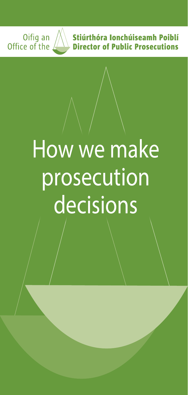

# How we make prosecution **decisions**

Oifig an<br>Office of the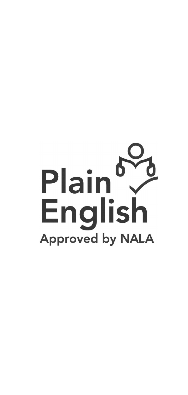# Plain English **Approved by NALA**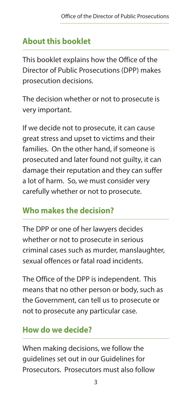# **About this booklet**

This booklet explains how the Office of the Director of Public Prosecutions (DPP) makes prosecution decisions.

The decision whether or not to prosecute is very important.

If we decide not to prosecute, it can cause great stress and upset to victims and their families. On the other hand, if someone is prosecuted and later found not guilty, it can damage their reputation and they can suffer a lot of harm. So, we must consider very carefully whether or not to prosecute.

# **Who makes the decision?**

The DPP or one of her lawyers decides whether or not to prosecute in serious criminal cases such as murder, manslaughter, sexual offences or fatal road incidents.

The Office of the DPP is independent. This means that no other person or body, such as the Government, can tell us to prosecute or not to prosecute any particular case.

# **How do we decide?**

When making decisions, we follow the guidelines set out in our Guidelines for Prosecutors. Prosecutors must also follow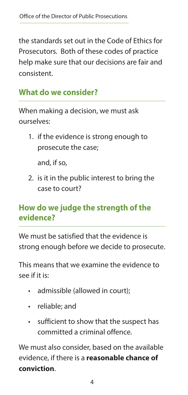the standards set out in the Code of Ethics for Prosecutors. Both of these codes of practice help make sure that our decisions are fair and consistent.

#### **What do we consider?**

When making a decision, we must ask ourselves:

1. if the evidence is strong enough to prosecute the case;

and, if so,

2. is it in the public interest to bring the case to court?

#### **How do we judge the strength of the evidence?**

We must be satisfied that the evidence is strong enough before we decide to prosecute.

This means that we examine the evidence to see if it is:

- admissible (allowed in court);
- reliable; and
- sufficient to show that the suspect has committed a criminal offence.

We must also consider, based on the available evidence, if there is a **reasonable chance of conviction**.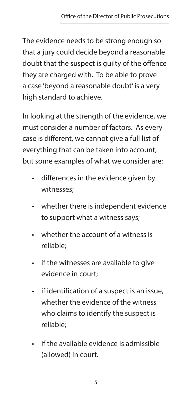The evidence needs to be strong enough so that a jury could decide beyond a reasonable doubt that the suspect is guilty of the offence they are charged with. To be able to prove a case 'beyond a reasonable doubt' is a very high standard to achieve.

In looking at the strength of the evidence, we must consider a number of factors. As every case is different, we cannot give a full list of everything that can be taken into account, but some examples of what we consider are:

- differences in the evidence given by witnesses;
- whether there is independent evidence to support what a witness says;
- whether the account of a witness is reliable;
- if the witnesses are available to give evidence in court;
- if identification of a suspect is an issue, whether the evidence of the witness who claims to identify the suspect is reliable;
- if the available evidence is admissible (allowed) in court.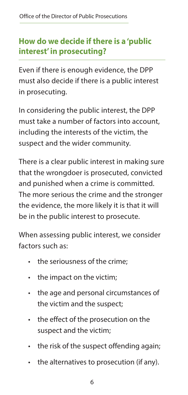#### **How do we decide if there is a 'public interest' in prosecuting?**

Even if there is enough evidence, the DPP must also decide if there is a public interest in prosecuting.

In considering the public interest, the DPP must take a number of factors into account, including the interests of the victim, the suspect and the wider community.

There is a clear public interest in making sure that the wrongdoer is prosecuted, convicted and punished when a crime is committed. The more serious the crime and the stronger the evidence, the more likely it is that it will be in the public interest to prosecute.

When assessing public interest, we consider factors such as:

- the seriousness of the crime:
- the impact on the victim;
- the age and personal circumstances of the victim and the suspect;
- the effect of the prosecution on the suspect and the victim;
- the risk of the suspect offending again;
- the alternatives to prosecution (if any).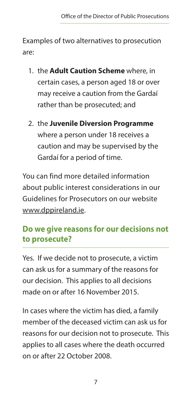Examples of two alternatives to prosecution are:

- 1. the **Adult Caution Scheme** where, in certain cases, a person aged 18 or over may receive a caution from the Gardaí rather than be prosecuted; and
- 2. the **Juvenile Diversion Programme** where a person under 18 receives a caution and may be supervised by the Gardaí for a period of time.

You can find more detailed information about public interest considerations in our Guidelines for Prosecutors on our website [www.dppireland.ie.](http://www.dppireland.ie)

### **Do we give reasons for our decisions not to prosecute?**

Yes. If we decide not to prosecute, a victim can ask us for a summary of the reasons for our decision. This applies to all decisions made on or after 16 November 2015.

In cases where the victim has died, a family member of the deceased victim can ask us for reasons for our decision not to prosecute. This applies to all cases where the death occurred on or after 22 October 2008.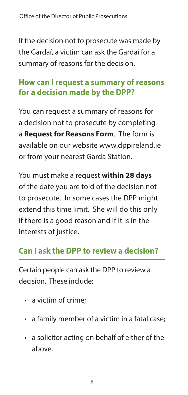If the decision not to prosecute was made by the Gardaí, a victim can ask the Gardaí for a summary of reasons for the decision.

#### **How can I request a summary of reasons for a decision made by the DPP?**

You can request a summary of reasons for a decision not to prosecute by completing a **Request for Reasons Form**. The form is available on our website www.dppireland.ie or from your nearest Garda Station.

You must make a request **within 28 days**  of the date you are told of the decision not to prosecute. In some cases the DPP might extend this time limit. She will do this only if there is a good reason and if it is in the interests of justice.

#### **Can I ask the DPP to review a decision?**

Certain people can ask the DPP to review a decision. These include:

- a victim of crime;
- a family member of a victim in a fatal case;
- a solicitor acting on behalf of either of the above.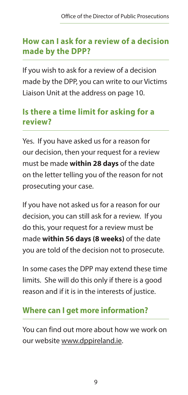#### **How can I ask for a review of a decision made by the DPP?**

If you wish to ask for a review of a decision made by the DPP, you can write to our Victims Liaison Unit at the address on page 10.

#### **Is there a time limit for asking for a review?**

Yes. If you have asked us for a reason for our decision, then your request for a review must be made **within 28 days** of the date on the letter telling you of the reason for not prosecuting your case.

If you have not asked us for a reason for our decision, you can still ask for a review. If you do this, your request for a review must be made **within 56 days (8 weeks)** of the date you are told of the decision not to prosecute.

In some cases the DPP may extend these time limits. She will do this only if there is a good reason and if it is in the interests of justice.

# **Where can I get more information?**

You can find out more about how we work on our website [www.dppireland.ie.](http://www.dppireland.ie)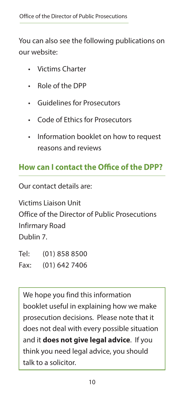You can also see the following publications on our website:

- Victims Charter
- Role of the DPP
- Guidelines for Prosecutors
- Code of Ethics for Prosecutors
- Information booklet on how to request reasons and reviews

#### **How can I contact the Office of the DPP?**

Our contact details are:

Victims Liaison Unit Office of the Director of Public Prosecutions Infirmary Road Dublin 7.

Tel: (01) 858 8500 Fax: (01) 642 7406

We hope you find this information booklet useful in explaining how we make prosecution decisions. Please note that it does not deal with every possible situation and it **does not give legal advice**. If you think you need legal advice, you should talk to a solicitor.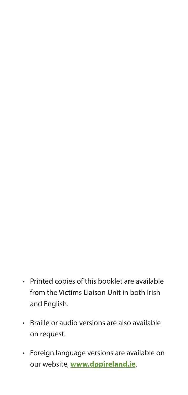- Printed copies of this booklet are available from the Victims Liaison Unit in both Irish and English.
- Braille or audio versions are also available on request.
- Foreign language versions are available on our website, **[www.dppireland.ie](http://www.dppireland.ie)**.